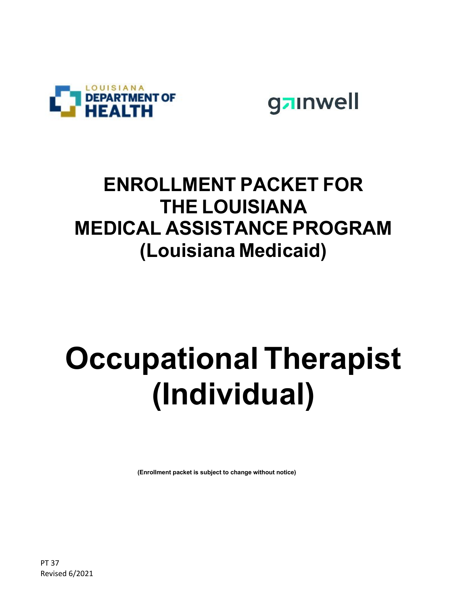



# **ENROLLMENT PACKET FOR THE LOUISIANA MEDICAL ASSISTANCE PROGRAM (Louisiana Medicaid)**

# **Occupational Therapist (Individual)**

**(Enrollment packet is subject to change without notice)**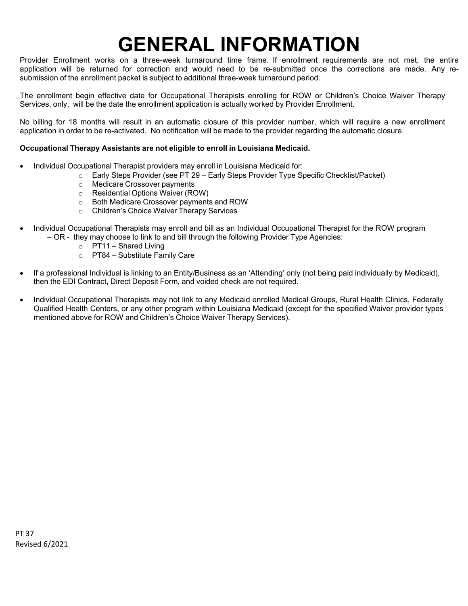# **GENERAL INFORMATION**

Provider Enrollment works on a three-week turnaround time frame. If enrollment requirements are not met, the entire application will be returned for correction and would need to be re-submitted once the corrections are made. Any resubmission of the enrollment packet is subject to additional three-week turnaround period.

The enrollment begin effective date for Occupational Therapists enrolling for ROW or Children's Choice Waiver Therapy Services, only, will be the date the enrollment application is actually worked by Provider Enrollment.

No billing for 18 months will result in an automatic closure of this provider number, which will require a new enrollment application in order to be re-activated. No notification will be made to the provider regarding the automatic closure.

#### **Occupational Therapy Assistants are not eligible to enroll in Louisiana Medicaid.**

- Individual Occupational Therapist providers may enroll in Louisiana Medicaid for:
	- o Early Steps Provider (see PT 29 Early Steps Provider Type Specific Checklist/Packet)
	- o Medicare Crossover payments
	- o Residential Options Waiver (ROW)
	- o Both Medicare Crossover payments and ROW
	- o Children's Choice Waiver Therapy Services
- Individual Occupational Therapists may enroll and bill as an Individual Occupational Therapist for the ROW program – OR - they may choose to link to and bill through the following Provider Type Agencies:
	- $\circ$  PT11 Shared Living
	- o PT84 *–* Substitute Family Care
- If a professional Individual is linking to an Entity/Business as an 'Attending' only (not being paid individually by Medicaid), then the EDI Contract, Direct Deposit Form, and voided check are not required.
- Individual Occupational Therapists may not link to any Medicaid enrolled Medical Groups, Rural Health Clinics, Federally Qualified Health Centers, or any other program within Louisiana Medicaid (except for the specified Waiver provider types mentioned above for ROW and Children's Choice Waiver Therapy Services).

PT 37 Revised 6/2021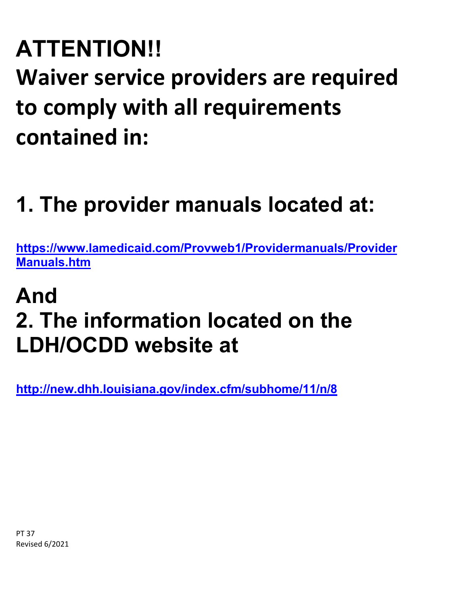# **ATTENTION!! Waiver service providers are required to comply with all requirements contained in:**

# **1. The provider manuals located at:**

**[https://www.lamedicaid.com/Provweb1/Providermanuals/Provider](https://www.lamedicaid.com/Provweb1/Providermanuals/ProviderManuals.htm) [Manuals.htm](https://www.lamedicaid.com/Provweb1/Providermanuals/ProviderManuals.htm)**

# **And 2. The information located on the LDH/OCDD website at**

**<http://new.dhh.louisiana.gov/index.cfm/subhome/11/n/8>**

PT 37 Revised 6/2021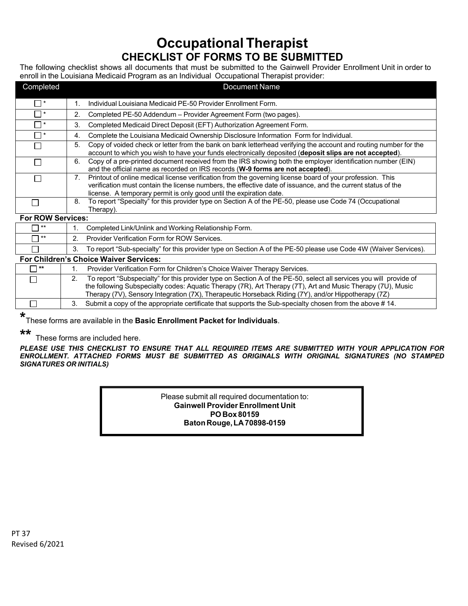## **Occupational Therapist CHECKLIST OF FORMS TO BE SUBMITTED**

The following checklist shows all documents that must be submitted to the Gainwell Provider Enrollment Unit in order to enroll in the Louisiana Medicaid Program as an Individual Occupational Therapist provider:

| Completed                | <b>Document Name</b>                                                                                                                                                                                                                                                                                                                           |
|--------------------------|------------------------------------------------------------------------------------------------------------------------------------------------------------------------------------------------------------------------------------------------------------------------------------------------------------------------------------------------|
| $\overline{J}$           | Individual Louisiana Medicaid PE-50 Provider Enrollment Form.<br>1.                                                                                                                                                                                                                                                                            |
| $\Box^*$                 | 2.<br>Completed PE-50 Addendum - Provider Agreement Form (two pages).                                                                                                                                                                                                                                                                          |
| $\Box$ *                 | Completed Medicaid Direct Deposit (EFT) Authorization Agreement Form.<br>3.                                                                                                                                                                                                                                                                    |
| □∗                       | Complete the Louisiana Medicaid Ownership Disclosure Information Form for Individual.<br>4.                                                                                                                                                                                                                                                    |
| П                        | 5.<br>Copy of voided check or letter from the bank on bank letterhead verifying the account and routing number for the<br>account to which you wish to have your funds electronically deposited (deposit slips are not accepted).                                                                                                              |
| ΙI                       | Copy of a pre-printed document received from the IRS showing both the employer identification number (EIN)<br>6.<br>and the official name as recorded on IRS records (W-9 forms are not accepted).                                                                                                                                             |
|                          | Printout of online medical license verification from the governing license board of your profession. This<br>7 <sub>1</sub><br>verification must contain the license numbers, the effective date of issuance, and the current status of the<br>license. A temporary permit is only good until the expiration date.                             |
|                          | To report "Specialty" for this provider type on Section A of the PE-50, please use Code 74 (Occupational<br>8.<br>Therapy).                                                                                                                                                                                                                    |
| <b>For ROW Services:</b> |                                                                                                                                                                                                                                                                                                                                                |
| $***$                    | 1 <sub>1</sub><br>Completed Link/Unlink and Working Relationship Form.                                                                                                                                                                                                                                                                         |
| $***$                    | Provider Verification Form for ROW Services.<br>2 <sub>1</sub>                                                                                                                                                                                                                                                                                 |
|                          | 3.<br>To report "Sub-specialty" for this provider type on Section A of the PE-50 please use Code 4W (Waiver Services).                                                                                                                                                                                                                         |
|                          | For Children's Choice Waiver Services:                                                                                                                                                                                                                                                                                                         |
| $***$                    | Provider Verification Form for Children's Choice Waiver Therapy Services.<br>1.                                                                                                                                                                                                                                                                |
|                          | To report "Subspecialty" for this provider type on Section A of the PE-50, select all services you will provide of<br>2.<br>the following Subspecialty codes: Aquatic Therapy (7R), Art Therapy (7T), Art and Music Therapy (7U), Music<br>Therapy (7V), Sensory Integration (7X), Therapeutic Horseback Riding (7Y), and/or Hippotherapy (7Z) |
|                          | Submit a copy of the appropriate certificate that supports the Sub-specialty chosen from the above #14.<br>3.                                                                                                                                                                                                                                  |

**\*** These forms are available in the **Basic Enrollment Packet for Individuals**.

**\*\***

These forms are included here.

*PLEASE USE THIS CHECKLIST TO ENSURE THAT ALL REQUIRED ITEMS ARE SUBMITTED WITH YOUR APPLICATION FOR ENROLLMENT. ATTACHED FORMS MUST BE SUBMITTED AS ORIGINALS WITH ORIGINAL SIGNATURES (NO STAMPED SIGNATURES OR INITIALS)*

> Please submit all required documentation to: **Gainwell Provider Enrollment Unit PO Box 80159 BatonRouge,LA70898-0159**

PT 37 Revised 6/2021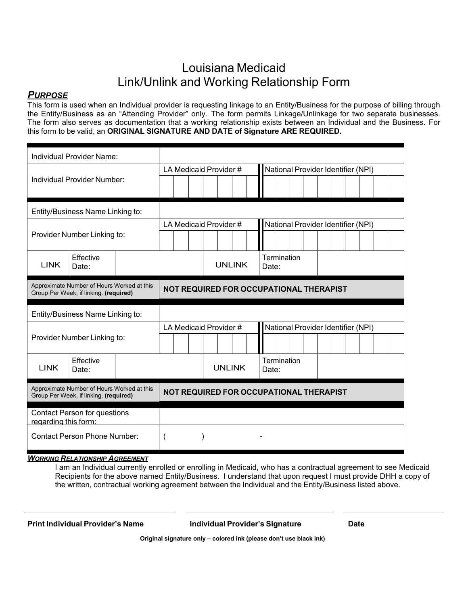## Louisiana Medicaid Link/Unlink and Working Relationship Form

### *PURPOSE*

This form is used when an Individual provider is requesting linkage to an Entity/Business for the purpose of billing through the Entity/Business as an "Attending Provider" only. The form permits Linkage/Unlinkage for two separate businesses. The form also serves as documentation that a working relationship exists between an Individual and the Business. For this form to be valid, an **ORIGINAL SIGNATURE AND DATE of Signature ARE REQUIRED.**

| Individual Provider Name:                                                            |                                                                                      |  |  |                                         |                                         |                                    |             |                                    |  |  |  |  |  |  |  |
|--------------------------------------------------------------------------------------|--------------------------------------------------------------------------------------|--|--|-----------------------------------------|-----------------------------------------|------------------------------------|-------------|------------------------------------|--|--|--|--|--|--|--|
|                                                                                      |                                                                                      |  |  |                                         | LA Medicaid Provider #                  | National Provider Identifier (NPI) |             |                                    |  |  |  |  |  |  |  |
| Individual Provider Number:                                                          |                                                                                      |  |  |                                         |                                         |                                    |             |                                    |  |  |  |  |  |  |  |
|                                                                                      |                                                                                      |  |  |                                         |                                         |                                    |             |                                    |  |  |  |  |  |  |  |
| Entity/Business Name Linking to:                                                     |                                                                                      |  |  |                                         |                                         |                                    |             |                                    |  |  |  |  |  |  |  |
|                                                                                      |                                                                                      |  |  |                                         | LA Medicaid Provider #                  |                                    |             | National Provider Identifier (NPI) |  |  |  |  |  |  |  |
| Provider Number Linking to:                                                          |                                                                                      |  |  |                                         |                                         |                                    |             |                                    |  |  |  |  |  |  |  |
| <b>LINK</b>                                                                          | Effective<br>Date:                                                                   |  |  |                                         | <b>UNLINK</b>                           | Date:                              | Termination |                                    |  |  |  |  |  |  |  |
| Approximate Number of Hours Worked at this<br>Group Per Week, if linking. (required) |                                                                                      |  |  | NOT REQUIRED FOR OCCUPATIONAL THERAPIST |                                         |                                    |             |                                    |  |  |  |  |  |  |  |
| Entity/Business Name Linking to:                                                     |                                                                                      |  |  |                                         |                                         |                                    |             |                                    |  |  |  |  |  |  |  |
|                                                                                      |                                                                                      |  |  |                                         |                                         |                                    |             |                                    |  |  |  |  |  |  |  |
|                                                                                      |                                                                                      |  |  |                                         | LA Medicaid Provider #                  |                                    |             | National Provider Identifier (NPI) |  |  |  |  |  |  |  |
|                                                                                      | Provider Number Linking to:                                                          |  |  |                                         |                                         |                                    |             |                                    |  |  |  |  |  |  |  |
| <b>LINK</b>                                                                          | Effective<br>Date:                                                                   |  |  |                                         | <b>UNLINK</b>                           | Date:                              | Termination |                                    |  |  |  |  |  |  |  |
|                                                                                      | Approximate Number of Hours Worked at this<br>Group Per Week, if linking. (required) |  |  |                                         | NOT REQUIRED FOR OCCUPATIONAL THERAPIST |                                    |             |                                    |  |  |  |  |  |  |  |
| regarding this form:                                                                 | <b>Contact Person for questions</b>                                                  |  |  |                                         |                                         |                                    |             |                                    |  |  |  |  |  |  |  |

#### *WORKING RELATIONSHIP AGREEMENT*

I am an Individual currently enrolled or enrolling in Medicaid, who has a contractual agreement to see Medicaid Recipients for the above named Entity/Business. I understand that upon request I must provide DHH a copy of the written, contractual working agreement between the Individual and the Entity/Business listed above.

**Print Individual Provider's Name Individual Provider's Signature Date**

**Original signature only – colored ink (please don't use black ink)**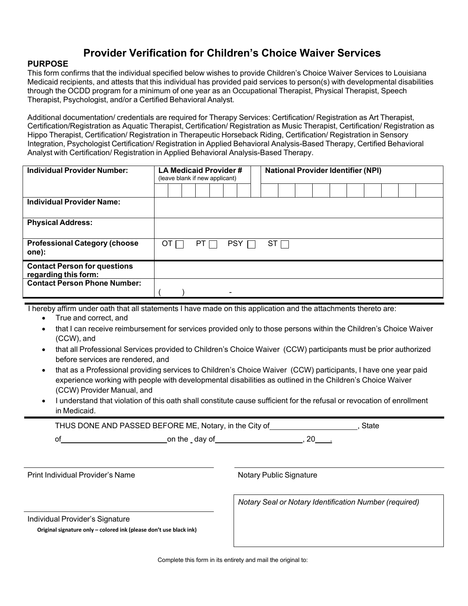## **Provider Verification for Children's Choice Waiver Services**

### **PURPOSE**

This form confirms that the individual specified below wishes to provide Children's Choice Waiver Services to Louisiana Medicaid recipients, and attests that this individual has provided paid services to person(s) with developmental disabilities through the OCDD program for a minimum of one year as an Occupational Therapist, Physical Therapist, Speech Therapist, Psychologist, and/or a Certified Behavioral Analyst.

Additional documentation/ credentials are required for Therapy Services: Certification/ Registration as Art Therapist, Certification/Registration as Aquatic Therapist, Certification/ Registration as Music Therapist, Certification/ Registration as Hippo Therapist, Certification/ Registration in Therapeutic Horseback Riding, Certification/ Registration in Sensory Integration, Psychologist Certification/ Registration in Applied Behavioral Analysis-Based Therapy, Certified Behavioral Analyst with Certification/ Registration in Applied Behavioral Analysis-Based Therapy.

| <b>Individual Provider Number:</b>                          | LA Medicaid Provider#<br>(leave blank if new applicant) |  |  |      |  |            |  |  |            | <b>National Provider Identifier (NPI)</b> |  |  |  |  |  |  |  |  |
|-------------------------------------------------------------|---------------------------------------------------------|--|--|------|--|------------|--|--|------------|-------------------------------------------|--|--|--|--|--|--|--|--|
|                                                             |                                                         |  |  |      |  |            |  |  |            |                                           |  |  |  |  |  |  |  |  |
| <b>Individual Provider Name:</b>                            |                                                         |  |  |      |  |            |  |  |            |                                           |  |  |  |  |  |  |  |  |
| <b>Physical Address:</b>                                    |                                                         |  |  |      |  |            |  |  |            |                                           |  |  |  |  |  |  |  |  |
| <b>Professional Category (choose</b><br>one):               | OT                                                      |  |  | PT I |  | <b>PSY</b> |  |  | $ST\sqcap$ |                                           |  |  |  |  |  |  |  |  |
| <b>Contact Person for questions</b><br>regarding this form: |                                                         |  |  |      |  |            |  |  |            |                                           |  |  |  |  |  |  |  |  |
| <b>Contact Person Phone Number:</b>                         |                                                         |  |  |      |  |            |  |  |            |                                           |  |  |  |  |  |  |  |  |

I hereby affirm under oath that all statements I have made on this application and the attachments thereto are:

- True and correct, and
- that I can receive reimbursement for services provided only to those persons within the Children's Choice Waiver (CCW), and
- that all Professional Services provided to Children's Choice Waiver (CCW) participants must be prior authorized before services are rendered, and
- that as a Professional providing services to Children's Choice Waiver (CCW) participants, I have one year paid experience working with people with developmental disabilities as outlined in the Children's Choice Waiver (CCW) Provider Manual, and
- I understand that violation of this oath shall constitute cause sufficient for the refusal or revocation of enrollment in Medicaid.

| THUS DONE AND PASSED BEFORE ME, Notary, in the City of |               |  |  |  |  |  |  |  |  |  |
|--------------------------------------------------------|---------------|--|--|--|--|--|--|--|--|--|
|                                                        | on the day of |  |  |  |  |  |  |  |  |  |

Print Individual Provider's Name Notary Public Signature

*Notary Seal or Notary Identification Number (required)*

Individual Provider's Signature

**Original signature only – colored ink (please don't use black ink)**

Complete this form in its entirety and mail the original to: